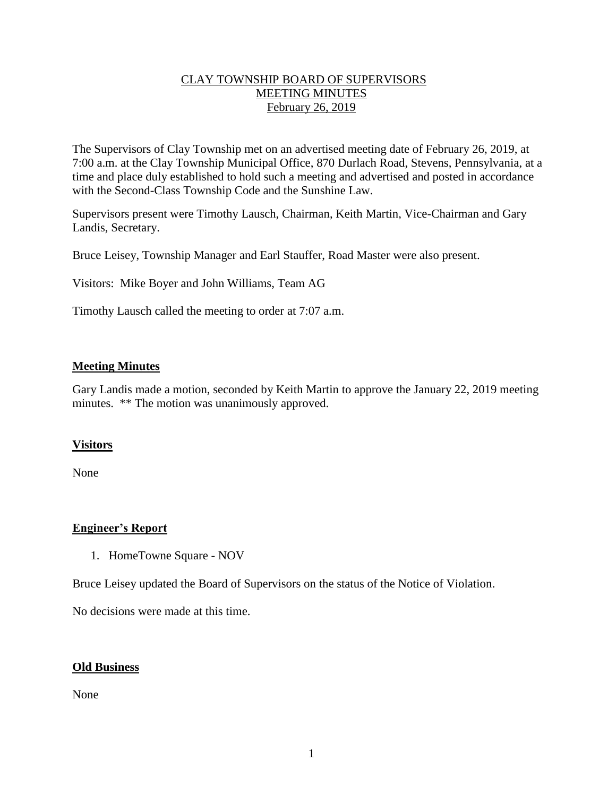## CLAY TOWNSHIP BOARD OF SUPERVISORS MEETING MINUTES February 26, 2019

The Supervisors of Clay Township met on an advertised meeting date of February 26, 2019, at 7:00 a.m. at the Clay Township Municipal Office, 870 Durlach Road, Stevens, Pennsylvania, at a time and place duly established to hold such a meeting and advertised and posted in accordance with the Second-Class Township Code and the Sunshine Law.

Supervisors present were Timothy Lausch, Chairman, Keith Martin, Vice-Chairman and Gary Landis, Secretary.

Bruce Leisey, Township Manager and Earl Stauffer, Road Master were also present.

Visitors: Mike Boyer and John Williams, Team AG

Timothy Lausch called the meeting to order at 7:07 a.m.

#### **Meeting Minutes**

Gary Landis made a motion, seconded by Keith Martin to approve the January 22, 2019 meeting minutes. \*\* The motion was unanimously approved.

#### **Visitors**

None

#### **Engineer's Report**

1. HomeTowne Square - NOV

Bruce Leisey updated the Board of Supervisors on the status of the Notice of Violation.

No decisions were made at this time.

#### **Old Business**

None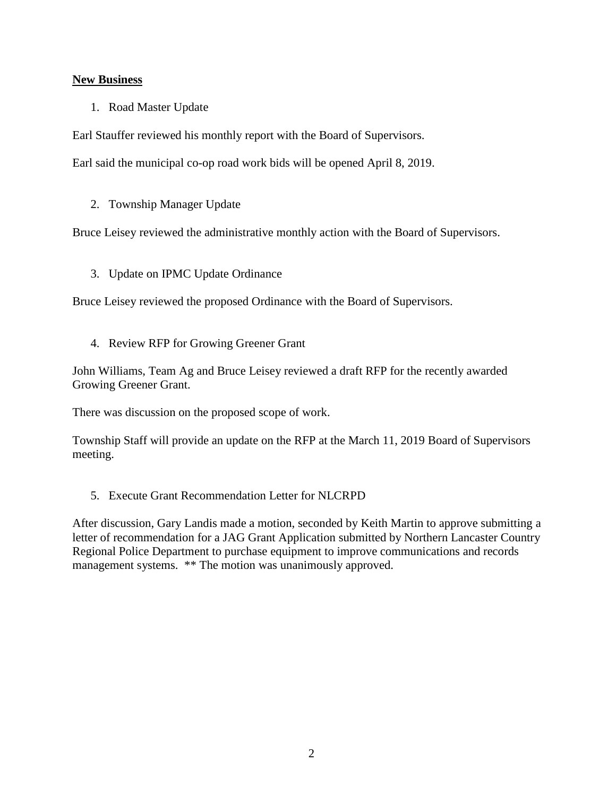## **New Business**

1. Road Master Update

Earl Stauffer reviewed his monthly report with the Board of Supervisors.

Earl said the municipal co-op road work bids will be opened April 8, 2019.

# 2. Township Manager Update

Bruce Leisey reviewed the administrative monthly action with the Board of Supervisors.

# 3. Update on IPMC Update Ordinance

Bruce Leisey reviewed the proposed Ordinance with the Board of Supervisors.

4. Review RFP for Growing Greener Grant

John Williams, Team Ag and Bruce Leisey reviewed a draft RFP for the recently awarded Growing Greener Grant.

There was discussion on the proposed scope of work.

Township Staff will provide an update on the RFP at the March 11, 2019 Board of Supervisors meeting.

5. Execute Grant Recommendation Letter for NLCRPD

After discussion, Gary Landis made a motion, seconded by Keith Martin to approve submitting a letter of recommendation for a JAG Grant Application submitted by Northern Lancaster Country Regional Police Department to purchase equipment to improve communications and records management systems. \*\* The motion was unanimously approved.